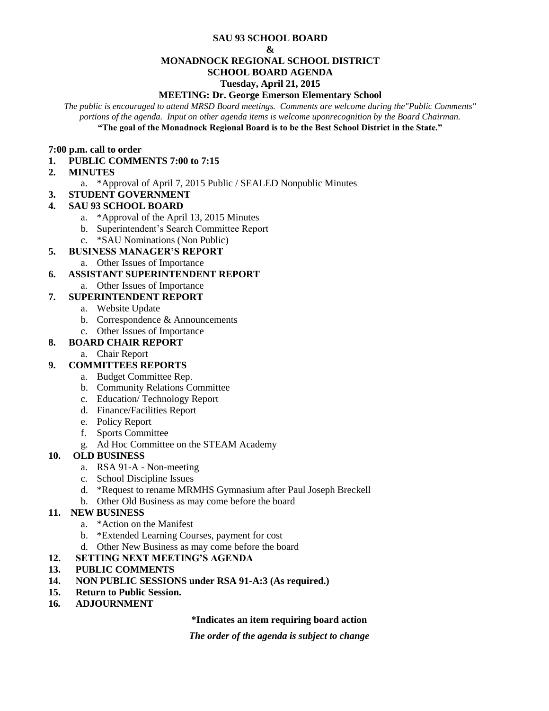#### **SAU 93 SCHOOL BOARD**

#### **&**

#### **MONADNOCK REGIONAL SCHOOL DISTRICT**

# **SCHOOL BOARD AGENDA**

#### **Tuesday, April 21, 2015**

#### **MEETING: Dr. George Emerson Elementary School**

*The public is encouraged to attend MRSD Board meetings. Comments are welcome during the"Public Comments" portions of the agenda. Input on other agenda items is welcome uponrecognition by the Board Chairman.* **"The goal of the Monadnock Regional Board is to be the Best School District in the State."**

#### **7:00 p.m. call to order**

## **1. PUBLIC COMMENTS 7:00 to 7:15**

#### **2. MINUTES**

- a. \*Approval of April 7, 2015 Public / SEALED Nonpublic Minutes
- **3. STUDENT GOVERNMENT**

## **4. SAU 93 SCHOOL BOARD**

- a. \*Approval of the April 13, 2015 Minutes
- b. Superintendent's Search Committee Report
- c. \*SAU Nominations (Non Public)
- **5. BUSINESS MANAGER'S REPORT** 
	- a. Other Issues of Importance

## **6. ASSISTANT SUPERINTENDENT REPORT**

a. Other Issues of Importance

# **7. SUPERINTENDENT REPORT**

- a. Website Update
- b. Correspondence & Announcements
- c. Other Issues of Importance

## **8. BOARD CHAIR REPORT**

- a. Chair Report
- **9. COMMITTEES REPORTS**
	- a. Budget Committee Rep.
	- b. Community Relations Committee
	- c. Education/ Technology Report
	- d. Finance/Facilities Report
	- e. Policy Report
	- f. Sports Committee
	- g. Ad Hoc Committee on the STEAM Academy

## **10. OLD BUSINESS**

- a. RSA 91-A Non-meeting
- c. School Discipline Issues
- d. \*Request to rename MRMHS Gymnasium after Paul Joseph Breckell
- b. Other Old Business as may come before the board

## **11. NEW BUSINESS**

- a. \*Action on the Manifest
- b. \*Extended Learning Courses, payment for cost
- d. Other New Business as may come before the board
- **12. SETTING NEXT MEETING'S AGENDA**
- **13. PUBLIC COMMENTS**
- **14. NON PUBLIC SESSIONS under RSA 91-A:3 (As required.)**
- **15. Return to Public Session.**
- **16***.* **ADJOURNMENT**

**\*Indicates an item requiring board action**

*The order of the agenda is subject to change*